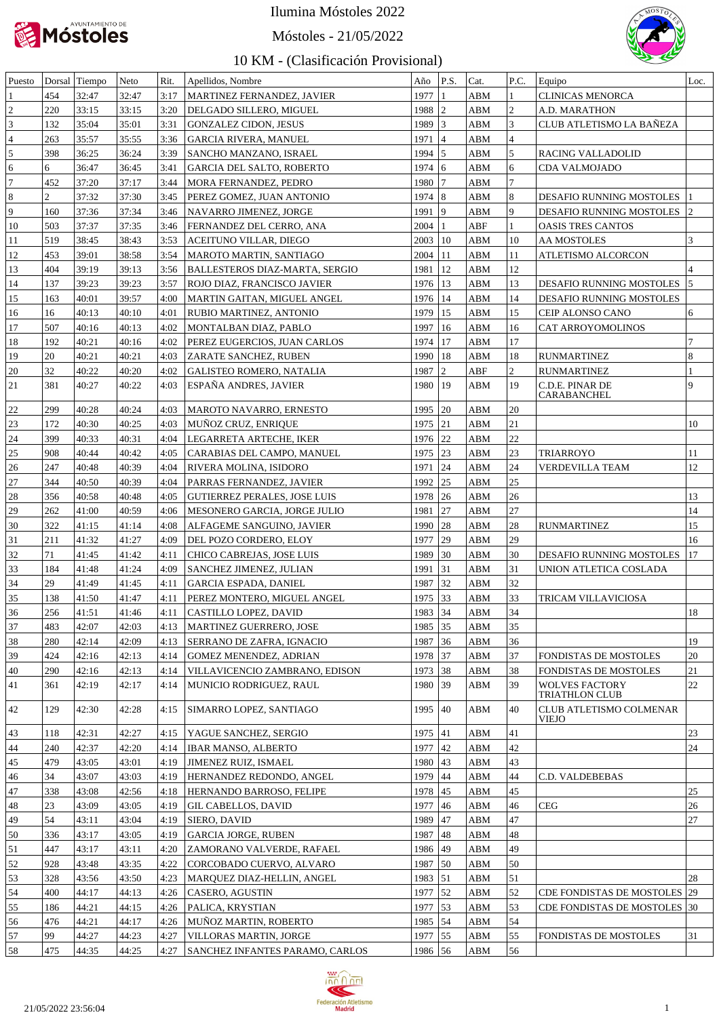

Móstoles - 21/05/2022



| Puesto         |                | Dorsal Tiempo | Neto  | Rit. | Apellidos, Nombre                   | Año         | P.S.          | Cat. | P.C.           | Equipo                                         | Loc.           |
|----------------|----------------|---------------|-------|------|-------------------------------------|-------------|---------------|------|----------------|------------------------------------------------|----------------|
|                | 454            | 32:47         | 32:47 | 3:17 | MARTINEZ FERNANDEZ, JAVIER          | 1977        |               | ABM  | 1              | <b>CLINICAS MENORCA</b>                        |                |
| $\overline{2}$ | 220            | 33:15         | 33:15 | 3:20 | DELGADO SILLERO, MIGUEL             | $1988$ 2    |               | ABM  | $\overline{2}$ | A.D. MARATHON                                  |                |
| 3              | 132            | 35:04         | 35:01 | 3:31 | <b>GONZALEZ CIDON, JESUS</b>        | 1989 3      |               | ABM  | 3              | CLUB ATLETISMO LA BAÑEZA                       |                |
| $\overline{4}$ | 263            | 35:57         | 35:55 | 3:36 | <b>GARCIA RIVERA, MANUEL</b>        | 1971        | 14            | ABM  | $\overline{4}$ |                                                |                |
| 5              | 398            | 36:25         | 36:24 | 3:39 | SANCHO MANZANO, ISRAEL              | $1994$ 5    |               | ABM  | $\overline{5}$ | RACING VALLADOLID                              |                |
| 6              | 6              | 36:47         | 36:45 | 3:41 | <b>GARCIA DEL SALTO, ROBERTO</b>    | 1974        | 16            | ABM  | 6              | CDA VALMOJADO                                  |                |
| $\overline{7}$ | 452            | 37:20         | 37:17 | 3:44 | MORA FERNANDEZ, PEDRO               | $1980$   7  |               | ABM  | $\overline{7}$ |                                                |                |
| 8              | $\overline{c}$ | 37:32         | 37:30 | 3:45 | PEREZ GOMEZ, JUAN ANTONIO           | 1974   8    |               | ABM  | $\overline{8}$ | DESAFIO RUNNING MOSTOLES                       |                |
| 9              | 160            | 37:36         | 37:34 | 3:46 | NAVARRO JIMENEZ, JORGE              | 1991        | $ 9\rangle$   | ABM  | 9              | DESAFIO RUNNING MOSTOLES                       | 2              |
| 10             | 503            | 37:37         | 37:35 | 3:46 |                                     | 2004        | 1             | ABF  | 1              |                                                |                |
|                |                |               |       |      | FERNANDEZ DEL CERRO, ANA            |             |               |      |                | OASIS TRES CANTOS                              |                |
| 11             | 519            | 38:45         | 38:43 | 3:53 | ACEITUNO VILLAR, DIEGO              | $2003$   10 |               | ABM  | 10             | AA MOSTOLES                                    | 3              |
| 12             | 453            | 39:01         | 38:58 | 3:54 | MAROTO MARTIN, SANTIAGO             | $2004$   11 |               | ABM  | 11             | ATLETISMO ALCORCON                             |                |
| 13             | 404            | 39:19         | 39:13 | 3:56 | BALLESTEROS DIAZ-MARTA, SERGIO      | 1981        | $ 12\rangle$  | ABM  | 12             |                                                |                |
| 14             | 137            | 39:23         | 39:23 | 3:57 | ROJO DIAZ, FRANCISCO JAVIER         | 1976   13   |               | ABM  | 13             | DESAFIO RUNNING MOSTOLES                       | 15             |
| 15             | 163            | 40:01         | 39:57 | 4:00 | MARTIN GAITAN, MIGUEL ANGEL         | 1976   14   |               | ABM  | 14             | DESAFIO RUNNING MOSTOLES                       |                |
| 16             | 16             | 40:13         | 40:10 | 4:01 | RUBIO MARTINEZ, ANTONIO             | 1979        | <sup>15</sup> | ABM  | 15             | CEIP ALONSO CANO                               | 6              |
| 17             | 507            | 40:16         | 40:13 | 4:02 | MONTALBAN DIAZ, PABLO               | 1997        | <sup>16</sup> | ABM  | 16             | CAT ARROYOMOLINOS                              |                |
| 18             | 192            | 40:21         | 40:16 | 4:02 | PEREZ EUGERCIOS, JUAN CARLOS        | 1974        | l 17          | ABM  | 17             |                                                | $\overline{7}$ |
| 19             | 20             | 40:21         | 40:21 | 4:03 | ZARATE SANCHEZ, RUBEN               | 1990   18   |               | ABM  | 18             | <b>RUNMARTINEZ</b>                             | $\overline{8}$ |
| 20             | 32             | 40:22         | 40:20 | 4:02 | <b>GALISTEO ROMERO, NATALIA</b>     | 1987        | $\vert$ 2     | ABF  | $\overline{2}$ | <b>RUNMARTINEZ</b>                             |                |
| 21             | 381            | 40:27         | 40:22 | 4:03 | ESPAÑA ANDRES, JAVIER               | 1980        | 19            | ABM  | 19             | C.D.E. PINAR DE                                | g              |
|                |                |               |       |      |                                     |             |               |      |                | CARABANCHEL                                    |                |
| 22             | 299            | 40:28         | 40:24 | 4:03 | MAROTO NAVARRO, ERNESTO             | 1995        | 120           | ABM  | 20             |                                                |                |
| 23             | 172            | 40:30         | 40:25 | 4:03 | MUÑOZ CRUZ, ENRIQUE                 | 1975   21   |               | ABM  | 21             |                                                | 10             |
| 24             | 399            | 40:33         | 40:31 | 4:04 | LEGARRETA ARTECHE, IKER             | 1976 22     |               | ABM  | 22             |                                                |                |
| 25             | 908            | 40:44         | 40:42 | 4:05 | CARABIAS DEL CAMPO, MANUEL          | 1975 23     |               | ABM  | 23             | <b>TRIARROYO</b>                               | 11             |
| 26             | 247            | 40:48         | 40:39 | 4:04 | RIVERA MOLINA, ISIDORO              | 1971 24     |               | ABM  | 24             | VERDEVILLA TEAM                                | 12             |
| $27\,$         | 344            | 40:50         | 40:39 | 4:04 | PARRAS FERNANDEZ, JAVIER            | 1992        | 25            | ABM  | 25             |                                                |                |
| 28             | 356            | 40:58         | 40:48 | 4:05 | <b>GUTIERREZ PERALES, JOSE LUIS</b> | 1978        | 26            | ABM  | 26             |                                                | 13             |
| 29             | 262            | 41:00         | 40:59 | 4:06 | MESONERO GARCIA, JORGE JULIO        | 1981        | 27            | ABM  | 27             |                                                | 14             |
| 30             | 322            | 41:15         | 41:14 | 4:08 | ALFAGEME SANGUINO, JAVIER           | 1990        | 28            | ABM  | 28             | <b>RUNMARTINEZ</b>                             | 15             |
| 31             | 211            | 41:32         | 41:27 | 4:09 | DEL POZO CORDERO, ELOY              | 1977        | 29            | ABM  | 29             |                                                | 16             |
| 32             | 71             | 41:45         | 41:42 | 4:11 | CHICO CABREJAS, JOSE LUIS           | 1989        | 30            | ABM  | 30             | DESAFIO RUNNING MOSTOLES                       | 17             |
| 33             | 184            | 41:48         | 41:24 | 4:09 | SANCHEZ JIMENEZ, JULIAN             | 1991        | 31            | ABM  | 31             | UNION ATLETICA COSLADA                         |                |
| 34             | 29             | 41:49         | 41:45 | 4:11 | <b>GARCIA ESPADA, DANIEL</b>        | 1987 32     |               | ABM  | 32             |                                                |                |
| 35             | 138            | 41:50         | 41:47 | 4:11 | PEREZ MONTERO, MIGUEL ANGEL         | 1975 33     |               | ABM  | 33             | TRICAM VILLAVICIOSA                            |                |
| 36             | 256            | 41:51         | 41:46 | 4:11 | CASTILLO LOPEZ, DAVID               | 1983 34     |               | ABM  | 34             |                                                | 18             |
| 37             | 483            | 42:07         | 42:03 | 4:13 | MARTINEZ GUERRERO, JOSE             | 1985 35     |               | ABM  | 35             |                                                |                |
| 38             | 280            | 42:14         | 42:09 | 4:13 | SERRANO DE ZAFRA, IGNACIO           | 1987 36     |               | ABM  | 36             |                                                | 19             |
| 39             | 424            | 42:16         | 42:13 |      | <b>GOMEZ MENENDEZ, ADRIAN</b>       | 1978 37     |               | ABM  | 37             | FONDISTAS DE MOSTOLES                          | 20             |
|                |                |               |       | 4:14 |                                     |             |               |      |                |                                                |                |
| 40             | 290            | 42:16         | 42:13 | 4:14 | VILLAVICENCIO ZAMBRANO, EDISON      | 1973 38     |               | ABM  | 38             | FONDISTAS DE MOSTOLES                          | 21             |
| 41             | 361            | 42:19         | 42:17 | 4:14 | MUNICIO RODRIGUEZ, RAUL             | 1980 39     |               | ABM  | 39             | <b>WOLVES FACTORY</b><br><b>TRIATHLON CLUB</b> | 22             |
| 42             | 129            | 42:30         | 42:28 | 4:15 | SIMARRO LOPEZ, SANTIAGO             | 1995   40   |               | ABM  | 40             | CLUB ATLETISMO COLMENAR                        |                |
|                |                |               |       |      |                                     |             |               |      |                | <b>VIEJO</b>                                   |                |
| 43             | 118            | 42:31         | 42:27 | 4:15 | YAGUE SANCHEZ, SERGIO               | $1975$ 41   |               | ABM  | 41             |                                                | 23             |
| 44             | 240            | 42:37         | 42:20 | 4:14 | <b>IBAR MANSO, ALBERTO</b>          | 1977        | $ 42\rangle$  | ABM  | 42             |                                                | 24             |
| 45             | 479            | 43:05         | 43:01 | 4:19 | JIMENEZ RUIZ, ISMAEL                | 1980   43   |               | ABM  | 43             |                                                |                |
| 46             | 34             | 43:07         | 43:03 | 4:19 | HERNANDEZ REDONDO, ANGEL            | 1979 44     |               | ABM  | 44             | <b>C.D. VALDEBEBAS</b>                         |                |
| 47             | 338            | 43:08         | 42:56 | 4:18 | HERNANDO BARROSO, FELIPE            | 1978 45     |               | ABM  | 45             |                                                | 25             |
| 48             | 23             | 43:09         | 43:05 | 4:19 | <b>GIL CABELLOS, DAVID</b>          | 1977        | 46            | ABM  | 46             | <b>CEG</b>                                     | 26             |
| 49             | 54             | 43:11         | 43:04 | 4:19 | SIERO, DAVID                        | 1989        | 47            | ABM  | 47             |                                                | 27             |
| 50             | 336            | 43:17         | 43:05 | 4:19 | <b>GARCIA JORGE, RUBEN</b>          | 1987        | 48            | ABM  | 48             |                                                |                |
|                |                |               |       |      |                                     |             |               |      |                |                                                |                |
| 51             | 447            | 43:17         | 43:11 | 4:20 | ZAMORANO VALVERDE, RAFAEL           | 1986 49     |               | ABM  | 49             |                                                |                |
| 52             | 928            | 43:48         | 43:35 | 4:22 | CORCOBADO CUERVO, ALVARO            | 1987 50     |               | ABM  | 50             |                                                |                |
| 53             | 328            | 43:56         | 43:50 | 4:23 | MARQUEZ DIAZ-HELLIN, ANGEL          | 1983 51     |               | ABM  | 51             |                                                | 28             |
| 54             | 400            | 44:17         | 44:13 | 4:26 | CASERO, AGUSTIN                     | 1977   52   |               | ABM  | 52             | CDE FONDISTAS DE MOSTOLES 29                   |                |
| 55             | 186            | 44:21         | 44:15 | 4:26 | PALICA, KRYSTIAN                    | 1977 53     |               | ABM  | 53             | CDE FONDISTAS DE MOSTOLES   30                 |                |
| 56             | 476            | 44:21         | 44:17 | 4:26 | MUÑOZ MARTIN, ROBERTO               | 1985   54   |               | ABM  | 54             |                                                |                |
| 57             | 99             | 44:27         | 44:23 | 4:27 | VILLORAS MARTIN, JORGE              | 1977   55   |               | ABM  | 55             | <b>FONDISTAS DE MOSTOLES</b>                   | 31             |
| 58             | 475            | 44:35         | 44:25 | 4:27 | SANCHEZ INFANTES PARAMO, CARLOS     | 1986 56     |               | ABM  | 56             |                                                |                |

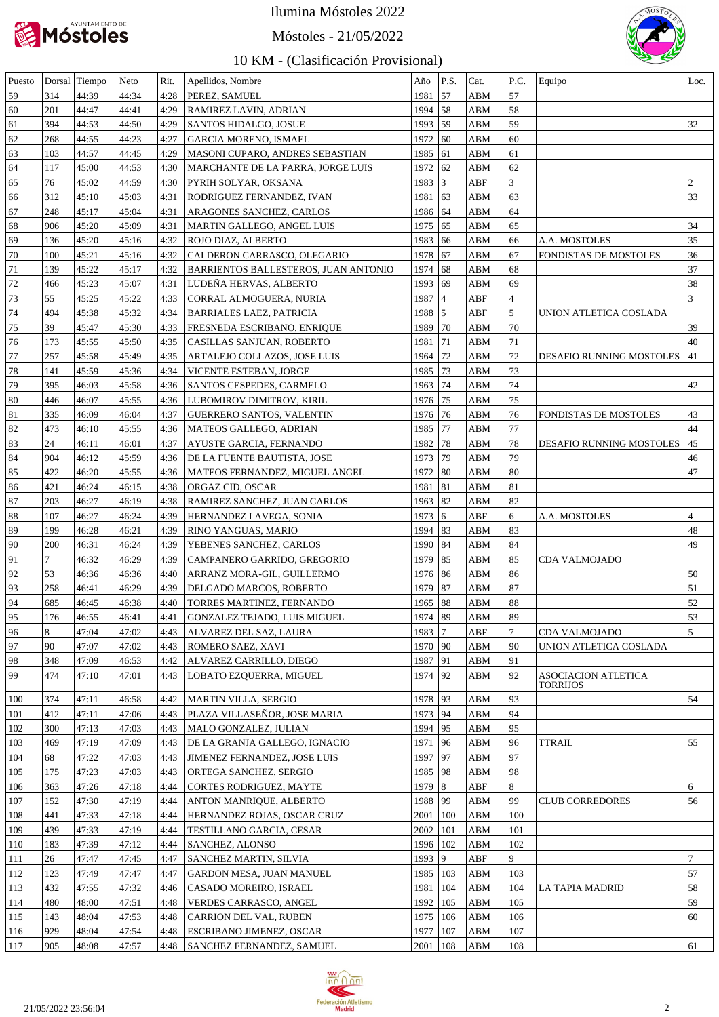

Móstoles - 21/05/2022



| Puesto |        | Dorsal Tiempo | Neto  | Rit. | Apellidos, Nombre                    | Año          | P.S.            | Cat.        | P.C.           | Equipo                     | Loc.            |
|--------|--------|---------------|-------|------|--------------------------------------|--------------|-----------------|-------------|----------------|----------------------------|-----------------|
| 59     | 314    | 44:39         | 44:34 | 4:28 | PEREZ, SAMUEL                        | 1981         | 57              | ABM         | 57             |                            |                 |
| 60     | 201    | 44:47         | 44:41 | 4:29 | RAMIREZ LAVIN, ADRIAN                | 1994         | 58              | ABM         | 58             |                            |                 |
| 61     | 394    | 44:53         | 44:50 | 4:29 | SANTOS HIDALGO, JOSUE                | 1993         | 59              | ABM         | 59             |                            | 32              |
| 62     | 268    | 44:55         | 44:23 | 4:27 | GARCIA MORENO, ISMAEL                | 1972         | 60              | ABM         | 60             |                            |                 |
| 63     | 103    | 44:57         | 44:45 | 4:29 | MASONI CUPARO, ANDRES SEBASTIAN      | 1985         | 61              | ABM         | 61             |                            |                 |
| 64     | 117    | 45:00         | 44:53 | 4:30 | MARCHANTE DE LA PARRA, JORGE LUIS    | 1972         | 62              | ABM         | 62             |                            |                 |
| 65     | 76     | 45:02         | 44:59 | 4:30 | PYRIH SOLYAR, OKSANA                 | 1983         | $\vert 3 \vert$ | ABF         | 3              |                            | $\overline{c}$  |
| 66     | 312    | 45:10         | 45:03 | 4:31 | RODRIGUEZ FERNANDEZ, IVAN            | 1981         | 63              | ABM         | 63             |                            | 33              |
| 67     | 248    | 45:17         | 45:04 | 4:31 | ARAGONES SANCHEZ, CARLOS             | 1986         | 64              | ABM         | 64             |                            |                 |
| 68     | 906    | 45:20         | 45:09 | 4:31 | MARTIN GALLEGO, ANGEL LUIS           | 1975         | 65              | ABM         | 65             |                            | 34              |
| 69     | 136    | 45:20         | 45:16 | 4:32 | ROJO DIAZ, ALBERTO                   | 1983         | 66              | ABM         | 66             | A.A. MOSTOLES              | 35              |
| 70     | 100    | 45:21         | 45:16 | 4:32 | CALDERON CARRASCO, OLEGARIO          | 1978         | 67              | ABM         | 67             | FONDISTAS DE MOSTOLES      | 36              |
| 71     | 139    | 45:22         | 45:17 | 4:32 | BARRIENTOS BALLESTEROS, JUAN ANTONIO | 1974         | 68              | ABM         | 68             |                            | 37              |
| 72     | 466    | 45:23         | 45:07 | 4:31 | LUDEÑA HERVAS, ALBERTO               | 1993         | 69              | ABM         | 69             |                            | 38              |
| 73     | 55     | 45:25         | 45:22 | 4:33 | CORRAL ALMOGUERA, NURIA              | 1987         | $\vert 4$       | ABF         | $\overline{4}$ |                            | 3               |
| 74     | 494    | 45:38         | 45:32 | 4:34 | <b>BARRIALES LAEZ, PATRICIA</b>      | 1988         | 5               | ABF         | 5              | UNION ATLETICA COSLADA     |                 |
| 75     | 39     | 45:47         | 45:30 | 4:33 | FRESNEDA ESCRIBANO, ENRIQUE          | 1989         | 70              | ABM         | 70             |                            | 39              |
| 76     | 173    | 45:55         | 45:50 | 4:35 | CASILLAS SANJUAN, ROBERTO            | 1981         | 71              | ABM         | 71             |                            | 40              |
| 77     | 257    | 45:58         | 45:49 | 4:35 | ARTALEJO COLLAZOS, JOSE LUIS         | 1964         | 72              | ABM         | 72             | DESAFIO RUNNING MOSTOLES   | 41              |
| 78     | 141    | 45:59         | 45:36 | 4:34 | VICENTE ESTEBAN, JORGE               | 1985         | 73              | ABM         | 73             |                            |                 |
| 79     | 395    | 46:03         | 45:58 | 4:36 | SANTOS CESPEDES, CARMELO             | 1963         | 74              | ABM         | 74             |                            | 42              |
| 80     | 446    | 46:07         | 45:55 | 4:36 | LUBOMIROV DIMITROV, KIRIL            | 1976         | 75              | ABM         | 75             |                            |                 |
| 81     | 335    | 46:09         | 46:04 | 4:37 | <b>GUERRERO SANTOS, VALENTIN</b>     | 1976         | 76              | ABM         | 76             | FONDISTAS DE MOSTOLES      | 43              |
| 82     | 473    | 46:10         | 45:55 | 4:36 | MATEOS GALLEGO, ADRIAN               | 1985         | 77              | ABM         | 77             |                            | 44              |
| 83     | 24     | 46:11         | 46:01 | 4:37 | AYUSTE GARCIA, FERNANDO              | 1982         | 78              | ABM         | 78             | DESAFIO RUNNING MOSTOLES   | 45              |
| 84     | 904    | 46:12         | 45:59 | 4:36 | DE LA FUENTE BAUTISTA, JOSE          | 1973         | 79              | ABM         | 79             |                            | 46              |
| 85     | 422    | 46:20         | 45:55 | 4:36 | MATEOS FERNANDEZ, MIGUEL ANGEL       | 1972         | 80              | ABM         | 80             |                            | 47              |
| 86     | 421    | 46:24         | 46:15 | 4:38 | ORGAZ CID, OSCAR                     | 1981         | 81              | ABM         | 81             |                            |                 |
| 87     | 203    | 46:27         | 46:19 | 4:38 | RAMIREZ SANCHEZ, JUAN CARLOS         | 1963         | 82              | ABM         | 82             |                            |                 |
| 88     | 107    | 46:27         | 46:24 | 4:39 | HERNANDEZ LAVEGA, SONIA              | 1973         | 6               | ABF         | 6              | A.A. MOSTOLES              | $\vert 4 \vert$ |
| 89     | 199    | 46:28         | 46:21 | 4:39 | RINO YANGUAS, MARIO                  | 1994         | 83              | ABM         | 83             |                            | 48              |
| 90     | 200    | 46:31         | 46:24 | 4:39 | YEBENES SANCHEZ, CARLOS              | 1990         | 84              | ABM         | 84             |                            | 49              |
| 91     | $\tau$ | 46:32         | 46:29 | 4:39 | CAMPANERO GARRIDO, GREGORIO          | 1979         | 85              | ABM         | 85             | CDA VALMOJADO              |                 |
| 92     | 53     | 46:36         | 46:36 | 4:40 | ARRANZ MORA-GIL, GUILLERMO           | 1976         | 86              | ABM         | 86             |                            | 50              |
| 93     | 258    | 46:41         | 46:29 | 4:39 | DELGADO MARCOS, ROBERTO              | 1979         | 87              | ABM         | 87             |                            | 51              |
| 94     | 685    | 46:45         | 46:38 | 4:40 | TORRES MARTINEZ, FERNANDO            | 1965         | 88              | ABM         | 88             |                            | 52              |
| 95     | 176    | 46:55         | 46:41 | 4:41 | GONZALEZ TEJADO, LUIS MIGUEL         | 1974   89    |                 | ABM         | 89             |                            | 53              |
| 96     | 8      | 47:04         | 47:02 | 4:43 | ALVAREZ DEL SAZ, LAURA               | 1983         | 7               | ABF         | 7              | CDA VALMOJADO              | 5               |
| 97     | 90     | 47:07         | 47:02 | 4:43 | ROMERO SAEZ, XAVI                    | 1970         | 90              | ABM         | 90             | UNION ATLETICA COSLADA     |                 |
| 98     | 348    | 47:09         | 46:53 | 4:42 | ALVAREZ CARRILLO, DIEGO              | 1987         | 91              | ABM         | 91             |                            |                 |
| 99     | 474    | 47:10         | 47:01 | 4:43 | LOBATO EZQUERRA, MIGUEL              | 1974         | 92              | ABM         | 92             | <b>ASOCIACION ATLETICA</b> |                 |
| 100    | 374    | 47:11         | 46:58 | 4:42 | <b>MARTIN VILLA, SERGIO</b>          | 1978         | 93              | ABM         | 93             | <b>TORRIJOS</b>            | 54              |
| 101    | 412    | 47:11         | 47:06 | 4:43 | PLAZA VILLASEÑOR, JOSE MARIA         | 1973         | 94              | ABM         | 94             |                            |                 |
| 102    | 300    | 47:13         | 47:03 | 4:43 | MALO GONZALEZ, JULIAN                | 1994         | 95              | ABM         | 95             |                            |                 |
| 103    | 469    | 47:19         | 47:09 | 4:43 | DE LA GRANJA GALLEGO, IGNACIO        | 1971         | 96              | ABM         | 96             | TTRAIL                     | 55              |
| 104    | 68     | 47:22         | 47:03 | 4:43 | JIMENEZ FERNANDEZ, JOSE LUIS         | 1997         | 97              | ABM         | 97             |                            |                 |
| 105    | 175    | 47:23         | 47:03 | 4:43 | ORTEGA SANCHEZ, SERGIO               | 1985         | 98              | ABM         | 98             |                            |                 |
| 106    | 363    | 47:26         | 47:18 | 4:44 | <b>CORTES RODRIGUEZ, MAYTE</b>       | 1979         | 8               | <b>ABF</b>  | 8              |                            | 6               |
| 107    | 152    | 47:30         | 47:19 | 4:44 | <b>ANTON MANRIQUE, ALBERTO</b>       | 1988         | 99              | ABM         | 99             | <b>CLUB CORREDORES</b>     | 56              |
| 108    | 441    | 47:33         | 47:18 | 4:44 | HERNANDEZ ROJAS, OSCAR CRUZ          | 2001         | 100             | <b>ABM</b>  | 100            |                            |                 |
| 109    | 439    | 47:33         | 47:19 | 4:44 | TESTILLANO GARCIA, CESAR             | 2002         | 101             | <b>ABM</b>  | 101            |                            |                 |
| 110    | 183    | 47:39         | 47:12 | 4:44 | <b>SANCHEZ, ALONSO</b>               | 1996         | 102             | <b>ABM</b>  | 102            |                            |                 |
| 111    | 26     | 47:47         | 47:45 | 4:47 | <b>SANCHEZ MARTIN, SILVIA</b>        | 1993         | 9               | <b>ABF</b>  | 9              |                            | 7               |
| 112    | 123    | 47:49         | 47:47 | 4:47 | <b>GARDON MESA, JUAN MANUEL</b>      | 1985         | 103             | ABM         | 103            |                            | 57              |
| 113    | 432    | 47:55         | 47:32 | 4:46 | CASADO MOREIRO, ISRAEL               | 1981         | 104             | ${\bf ABM}$ | 104            | LA TAPIA MADRID            | 58              |
| 114    | 480    | 48:00         | 47:51 | 4:48 | VERDES CARRASCO, ANGEL               | 1992         | 105             | <b>ABM</b>  | 105            |                            | 59              |
| 115    | 143    | 48:04         | 47:53 | 4:48 | CARRION DEL VAL, RUBEN               | 1975         | 106             | <b>ABM</b>  | 106            |                            | 60              |
| 116    | 929    | 48:04         | 47:54 | 4:48 | ESCRIBANO JIMENEZ, OSCAR             | 1977         | 107             | ABM         | 107            |                            |                 |
| 117    | 905    | 48:08         | 47:57 | 4:48 | <b>SANCHEZ FERNANDEZ, SAMUEL</b>     | $2001$   108 |                 | <b>ABM</b>  | 108            |                            | 61              |

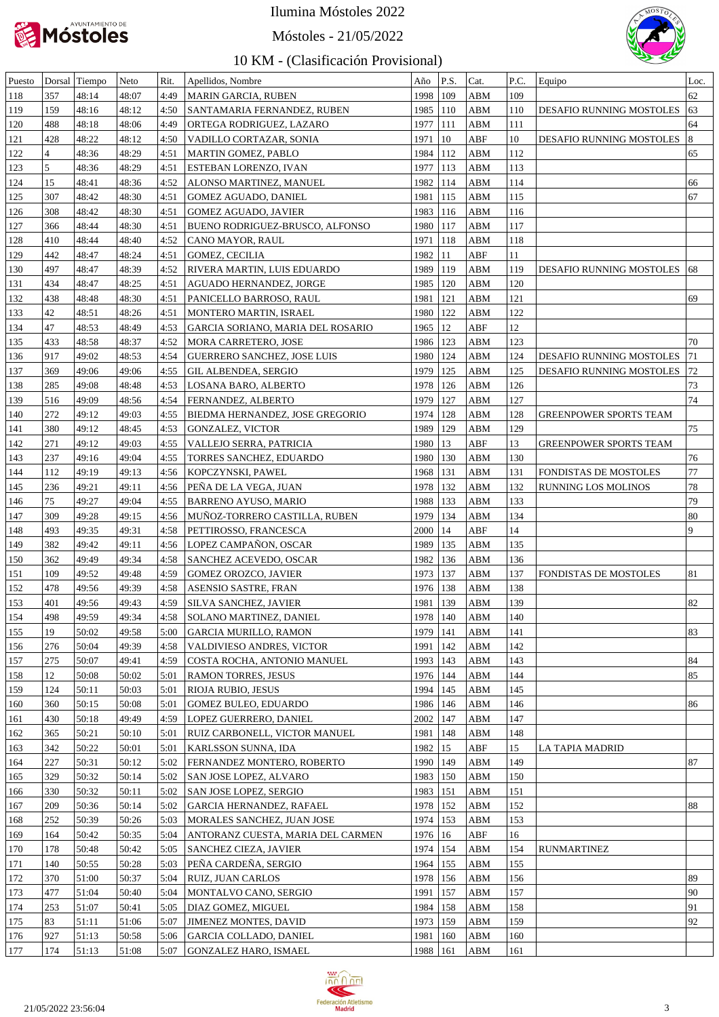

Móstoles - 21/05/2022



| Puesto |                | Dorsal Tiempo | Neto  | Rit. | Apellidos, Nombre                 | Año        | P.S. | Cat. | P.C. | Equipo                               | Loc. |
|--------|----------------|---------------|-------|------|-----------------------------------|------------|------|------|------|--------------------------------------|------|
| 118    | 357            | 48:14         | 48:07 | 4:49 | <b>MARIN GARCIA, RUBEN</b>        | 1998       | 109  | ABM  | 109  |                                      | 62   |
| 119    | 159            | 48:16         | 48:12 | 4:50 | SANTAMARIA FERNANDEZ, RUBEN       | 1985       | 110  | ABM  | 110  | DESAFIO RUNNING MOSTOLES             | 63   |
| 120    | 488            | 48:18         | 48:06 | 4:49 | ORTEGA RODRIGUEZ, LAZARO          | 1977       | 111  | ABM  | 111  |                                      | 64   |
| 121    | 428            | 48:22         | 48:12 | 4:50 | VADILLO CORTAZAR, SONIA           | 1971       | 10   | ABF  | 10   | DESAFIO RUNNING MOSTOLES             | 8    |
| 122    | $\overline{4}$ | 48:36         | 48:29 | 4:51 | MARTIN GOMEZ, PABLO               | 1984       | 112  | ABM  | 112  |                                      | 65   |
| 123    | 5              | 48:36         | 48:29 | 4:51 | ESTEBAN LORENZO, IVAN             | 1977       | 113  | ABM  | 113  |                                      |      |
| 124    | 15             | 48:41         | 48:36 | 4:52 | ALONSO MARTINEZ, MANUEL           | 1982       | 114  | ABM  | 114  |                                      | 66   |
| 125    | 307            | 48:42         | 48:30 | 4:51 | GOMEZ AGUADO, DANIEL              | 1981       | 115  | ABM  | 115  |                                      | 67   |
| 126    | 308            | 48:42         | 48:30 | 4:51 | <b>GOMEZ AGUADO, JAVIER</b>       | 1983       | 116  | ABM  | 116  |                                      |      |
| 127    | 366            | 48:44         | 48:30 | 4:51 | BUENO RODRIGUEZ-BRUSCO, ALFONSO   | 1980       | 117  | ABM  | 117  |                                      |      |
| 128    | 410            | 48:44         | 48:40 | 4:52 | CANO MAYOR, RAUL                  | 1971       | 118  | ABM  | 118  |                                      |      |
| 129    | 442            | 48:47         | 48:24 | 4:51 | GOMEZ, CECILIA                    | 1982       | 11   | ABF  | 11   |                                      |      |
| 130    | 497            | 48:47         | 48:39 | 4:52 | RIVERA MARTIN, LUIS EDUARDO       | 1989       | 119  | ABM  | 119  | <b>DESAFIO RUNNING MOSTOLES</b>   68 |      |
| 131    | 434            | 48:47         | 48:25 | 4:51 | AGUADO HERNANDEZ, JORGE           | 1985       | 120  | ABM  | 120  |                                      |      |
| 132    | 438            | 48:48         | 48:30 | 4:51 | PANICELLO BARROSO, RAUL           | 1981       | 121  | ABM  | 121  |                                      | 69   |
| 133    | 42             | 48:51         | 48:26 | 4:51 | MONTERO MARTIN, ISRAEL            | 1980       | 122  | ABM  | 122  |                                      |      |
| 134    | 47             | 48:53         | 48:49 | 4:53 | GARCIA SORIANO, MARIA DEL ROSARIO | 1965       | 12   | ABF  | 12   |                                      |      |
| 135    | 433            | 48:58         | 48:37 | 4:52 | MORA CARRETERO, JOSE              | 1986       | 123  | ABM  | 123  |                                      | 70   |
| 136    | 917            | 49:02         | 48:53 | 4:54 | GUERRERO SANCHEZ, JOSE LUIS       | 1980       | 124  | ABM  | 124  | DESAFIO RUNNING MOSTOLES             | 71   |
| 137    | 369            | 49:06         | 49:06 | 4:55 | GIL ALBENDEA, SERGIO              | 1979       | 125  | ABM  | 125  | DESAFIO RUNNING MOSTOLES             | 72   |
| 138    | 285            | 49:08         | 48:48 | 4:53 | LOSANA BARO, ALBERTO              | 1978       | 126  | ABM  | 126  |                                      | 73   |
| 139    | 516            | 49:09         | 48:56 | 4:54 | FERNANDEZ, ALBERTO                | 1979       | 127  | ABM  | 127  |                                      | 74   |
| 140    | 272            | 49:12         | 49:03 | 4:55 | BIEDMA HERNANDEZ, JOSE GREGORIO   | 1974       | 128  | ABM  | 128  | <b>GREENPOWER SPORTS TEAM</b>        |      |
| 141    | 380            | 49:12         | 48:45 | 4:53 | <b>GONZALEZ, VICTOR</b>           | 1989       | 129  | ABM  | 129  |                                      | 75   |
| 142    | 271            | 49:12         | 49:03 | 4:55 | VALLEJO SERRA, PATRICIA           | 1980       | 13   | ABF  | 13   | <b>GREENPOWER SPORTS TEAM</b>        |      |
| 143    | 237            | 49:16         | 49:04 | 4:55 | TORRES SANCHEZ, EDUARDO           | 1980       | 130  | ABM  | 130  |                                      | 76   |
| 144    | 112            | 49:19         | 49:13 | 4:56 | KOPCZYNSKI, PAWEL                 | 1968       | 131  | ABM  | 131  | FONDISTAS DE MOSTOLES                | 77   |
| 145    | 236            | 49:21         | 49:11 | 4:56 | PEÑA DE LA VEGA, JUAN             | 1978       | 132  | ABM  | 132  | RUNNING LOS MOLINOS                  | 78   |
| 146    | 75             | 49:27         | 49:04 | 4:55 | <b>BARRENO AYUSO, MARIO</b>       | 1988       | 133  | ABM  | 133  |                                      | 79   |
| 147    | 309            | 49:28         | 49:15 | 4:56 | MUÑOZ-TORRERO CASTILLA, RUBEN     | 1979       | 134  | ABM  | 134  |                                      | 80   |
| 148    | 493            | 49:35         | 49:31 | 4:58 | PETTIROSSO, FRANCESCA             | 2000       | 14   | ABF  | 14   |                                      | 9    |
| 149    | 382            | 49:42         | 49:11 | 4:56 | LOPEZ CAMPAÑON, OSCAR             | 1989       | 135  | ABM  | 135  |                                      |      |
| 150    | 362            | 49:49         | 49:34 | 4:58 | SANCHEZ ACEVEDO, OSCAR            | 1982       | 136  | ABM  | 136  |                                      |      |
| 151    | 109            | 49:52         | 49:48 | 4:59 | <b>GOMEZ OROZCO, JAVIER</b>       | 1973       | 137  | ABM  | 137  | FONDISTAS DE MOSTOLES                | 81   |
| 152    | 478            | 49:56         | 49:39 | 4:58 | ASENSIO SASTRE, FRAN              | 1976       | 138  | ABM  | 138  |                                      |      |
| 153    | 401            | 49:56         | 49:43 | 4:59 | <b>SILVA SANCHEZ, JAVIER</b>      | 1981       | 139  | ABM  | 139  |                                      | 82   |
| 154    | 498            | 49:59         | 49:34 | 4:58 | SOLANO MARTINEZ, DANIEL           | 1978   140 |      | ABM  | 140  |                                      |      |
| 155    | 19             | 50:02         | 49:58 | 5:00 | <b>GARCIA MURILLO, RAMON</b>      | 1979       | 141  | ABM  | 141  |                                      | 83   |
| 156    | 276            | 50:04         | 49:39 | 4:58 | VALDIVIESO ANDRES, VICTOR         | 1991       | 142  | ABM  | 142  |                                      |      |
| 157    | 275            | 50:07         | 49:41 | 4:59 | COSTA ROCHA, ANTONIO MANUEL       | 1993       | 143  | ABM  | 143  |                                      | 84   |
| 158    | 12             | 50:08         | 50:02 | 5:01 | <b>RAMON TORRES, JESUS</b>        | 1976       | 144  | ABM  | 144  |                                      | 85   |
| 159    | 124            | 50:11         | 50:03 | 5:01 | RIOJA RUBIO, JESUS                | 1994       | 145  | ABM  | 145  |                                      |      |
| 160    | 360            | 50:15         | 50:08 | 5:01 | <b>GOMEZ BULEO, EDUARDO</b>       | 1986       | 146  | ABM  | 146  |                                      | 86   |
| 161    | 430            | 50:18         | 49:49 | 4:59 | LOPEZ GUERRERO, DANIEL            | 2002       | 147  | ABM  | 147  |                                      |      |
| 162    | 365            | 50:21         | 50:10 | 5:01 | RUIZ CARBONELL, VICTOR MANUEL     | 1981       | 148  | ABM  | 148  |                                      |      |
| 163    | 342            | 50:22         | 50:01 | 5:01 | KARLSSON SUNNA, IDA               | 1982       | 15   | ABF  | 15   | LA TAPIA MADRID                      |      |
| 164    | 227            | 50:31         | 50:12 | 5:02 | FERNANDEZ MONTERO, ROBERTO        | 1990       | 149  | ABM  | 149  |                                      | 87   |
| 165    | 329            | 50:32         | 50:14 | 5:02 | SAN JOSE LOPEZ, ALVARO            | 1983       | 150  | ABM  | 150  |                                      |      |
| 166    | 330            | 50:32         | 50:11 | 5:02 | SAN JOSE LOPEZ, SERGIO            | 1983       | 151  | ABM  | 151  |                                      |      |
| 167    | 209            | 50:36         | 50:14 | 5:02 | GARCIA HERNANDEZ, RAFAEL          | 1978       | 152  | ABM  | 152  |                                      | 88   |
| 168    | 252            | 50:39         | 50:26 | 5:03 | MORALES SANCHEZ, JUAN JOSE        | 1974       | 153  | ABM  | 153  |                                      |      |
| 169    | 164            | 50:42         | 50:35 | 5:04 | ANTORANZ CUESTA, MARIA DEL CARMEN | 1976       | 16   | ABF  | 16   |                                      |      |
| 170    | 178            | 50:48         | 50:42 | 5:05 | <b>SANCHEZ CIEZA, JAVIER</b>      | 1974       | 154  | ABM  | 154  | <b>RUNMARTINEZ</b>                   |      |
| 171    | 140            | 50:55         | 50:28 | 5:03 | PEÑA CARDEÑA, SERGIO              | 1964       | 155  | ABM  | 155  |                                      |      |
| 172    | 370            | 51:00         | 50:37 | 5:04 | RUIZ, JUAN CARLOS                 | 1978       | 156  | ABM  | 156  |                                      | 89   |
| 173    | 477            | 51:04         | 50:40 | 5:04 | MONTALVO CANO, SERGIO             | 1991       | 157  | ABM  | 157  |                                      | 90   |
| 174    | 253            | 51:07         | 50:41 | 5:05 | DIAZ GOMEZ, MIGUEL                | 1984       | 158  | ABM  | 158  |                                      | 91   |
| 175    | 83             | 51:11         | 51:06 | 5:07 | <b>JIMENEZ MONTES, DAVID</b>      | 1973       | 159  | ABM  | 159  |                                      | 92   |
| 176    | 927            | 51:13         | 50:58 | 5:06 | <b>GARCIA COLLADO, DANIEL</b>     | 1981       | 160  | ABM  | 160  |                                      |      |
| 177    | 174            | 51:13         | 51:08 | 5:07 | GONZALEZ HARO, ISMAEL             | 1988   161 |      | ABM  | 161  |                                      |      |
|        |                |               |       |      |                                   |            |      |      |      |                                      |      |

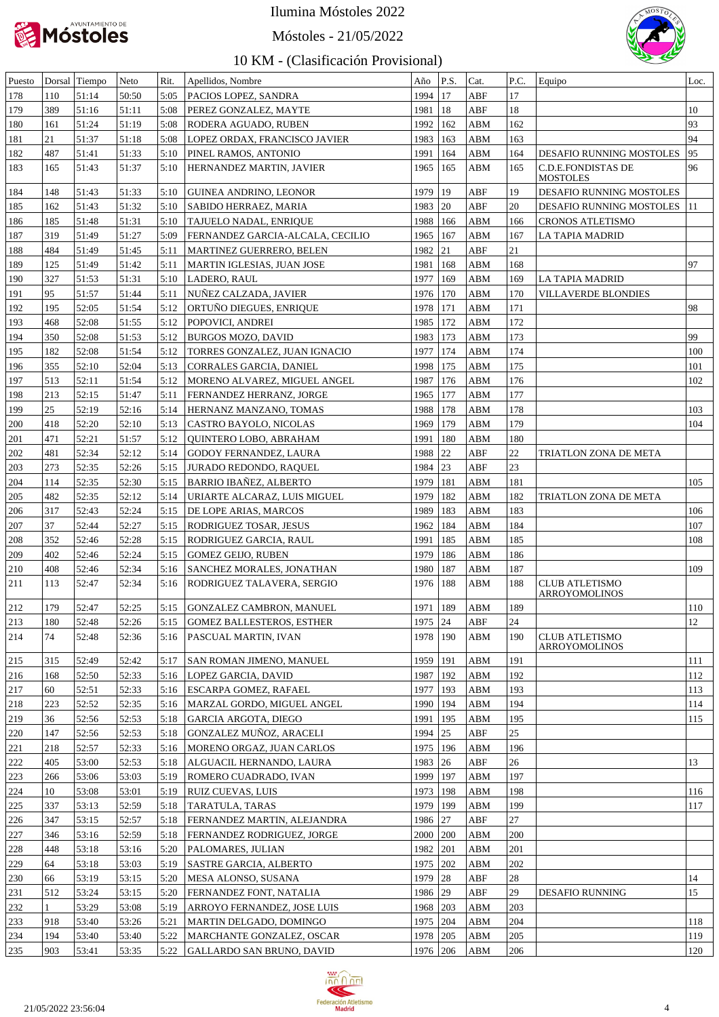

Móstoles - 21/05/2022



| Puesto |        | Dorsal Tiempo | Neto  | Rit. | Apellidos, Nombre                 | Año      | P.S.         | Cat.       | P.C. | Equipo                                        | Loc.          |
|--------|--------|---------------|-------|------|-----------------------------------|----------|--------------|------------|------|-----------------------------------------------|---------------|
| 178    | 110    | 51:14         | 50:50 | 5:05 | PACIOS LOPEZ, SANDRA              | 1994     | 17           | ABF        | 17   |                                               |               |
| 179    | 389    | 51:16         | 51:11 | 5:08 | PEREZ GONZALEZ, MAYTE             | 1981     | 18           | ABF        | 18   |                                               | 10            |
| 180    | 161    | 51:24         | 51:19 | 5:08 | RODERA AGUADO, RUBEN              | 1992     | 162          | ABM        | 162  |                                               | 93            |
| 181    | 21     | 51:37         | 51:18 | 5:08 | LOPEZ ORDAX, FRANCISCO JAVIER     | 1983     | 163          | ABM        | 163  |                                               | 94            |
| 182    | 487    | 51:41         | 51:33 | 5:10 | PINEL RAMOS, ANTONIO              | 1991     | 164          | ABM        | 164  | DESAFIO RUNNING MOSTOLES                      | 95            |
| 183    | 165    | 51:43         | 51:37 | 5:10 | HERNANDEZ MARTIN, JAVIER          | 1965     | 165          | ABM        | 165  | <b>C.D.E.FONDISTAS DE</b><br>MOSTOLES         | 96            |
| 184    | 148    | 51:43         | 51:33 | 5:10 | <b>GUINEA ANDRINO, LEONOR</b>     | 1979     | 19           | ABF        | 19   | DESAFIO RUNNING MOSTOLES                      |               |
| 185    | 162    | 51:43         | 51:32 | 5:10 | SABIDO HERRAEZ, MARIA             | 1983     | 20           | ABF        | 20   | DESAFIO RUNNING MOSTOLES                      | <sup>11</sup> |
| 186    | 185    | 51:48         | 51:31 | 5:10 | TAJUELO NADAL, ENRIQUE            | 1988     | 166          | <b>ABM</b> | 166  | <b>CRONOS ATLETISMO</b>                       |               |
| 187    | 319    | 51:49         | 51:27 | 5:09 | FERNANDEZ GARCIA-ALCALA, CECILIO  | 1965     | 167          | <b>ABM</b> | 167  | LA TAPIA MADRID                               |               |
| 188    | 484    | 51:49         | 51:45 | 5:11 | MARTINEZ GUERRERO, BELEN          | 1982     | 21           | ABF        | 21   |                                               |               |
| 189    | 125    | 51:49         | 51:42 | 5:11 | MARTIN IGLESIAS, JUAN JOSE        | 1981     | 168          | <b>ABM</b> | 168  |                                               | 97            |
| 190    | 327    | 51:53         | 51:31 | 5:10 | LADERO, RAUL                      | 1977     | 169          | ABM        | 169  | LA TAPIA MADRID                               |               |
| 191    | 95     | 51:57         | 51:44 | 5:11 | NUÑEZ CALZADA, JAVIER             | 1976     | 170          | <b>ABM</b> | 170  | VILLAVERDE BLONDIES                           |               |
| 192    | 195    | 52:05         | 51:54 | 5:12 | ORTUÑO DIEGUES, ENRIQUE           | 1978     | 171          | ABM        | 171  |                                               | 98            |
| 193    | 468    | 52:08         | 51:55 | 5:12 | POPOVICI, ANDREI                  | 1985     | 172          | ABM        | 172  |                                               |               |
| 194    | 350    | 52:08         | 51:53 | 5:12 | <b>BURGOS MOZO, DAVID</b>         | 1983     | 173          | ABM        | 173  |                                               | 99            |
| 195    | 182    | 52:08         | 51:54 | 5:12 | TORRES GONZALEZ, JUAN IGNACIO     | 1977     | 174          | ABM        | 174  |                                               | 100           |
| 196    | 355    | 52:10         | 52:04 | 5:13 | CORRALES GARCIA, DANIEL           | 1998     | 175          | ABM        | 175  |                                               | 101           |
| 197    | 513    | 52:11         | 51:54 | 5:12 | MORENO ALVAREZ, MIGUEL ANGEL      | 1987     | 176          | ABM        | 176  |                                               | 102           |
| 198    | 213    | 52:15         | 51:47 | 5:11 | FERNANDEZ HERRANZ, JORGE          | 1965     | <b>177</b>   | ABM        | 177  |                                               |               |
| 199    | $25\,$ | 52:19         | 52:16 | 5:14 | HERNANZ MANZANO, TOMAS            | 1988     | 178          | ABM        | 178  |                                               | 103           |
| 200    | 418    | 52:20         | 52:10 | 5:13 | CASTRO BAYOLO, NICOLAS            | 1969     | 179          | ABM        | 179  |                                               | 104           |
| 201    | 471    | 52:21         | 51:57 | 5:12 | QUINTERO LOBO, ABRAHAM            | 1991     | 180          | <b>ABM</b> | 180  |                                               |               |
| 202    | 481    | 52:34         | 52:12 | 5:14 | <b>GODOY FERNANDEZ, LAURA</b>     | 1988     | 22           | ABF        | 22   | TRIATLON ZONA DE META                         |               |
| 203    | 273    | 52:35         | 52:26 | 5:15 | <b>JURADO REDONDO, RAQUEL</b>     | 1984     | $ 23\rangle$ | ABF        | 23   |                                               |               |
| 204    | 114    | 52:35         | 52:30 | 5:15 | <b>BARRIO IBAÑEZ, ALBERTO</b>     | 1979     | 181          | <b>ABM</b> | 181  |                                               | 105           |
| 205    | 482    | 52:35         | 52:12 | 5:14 | URIARTE ALCARAZ, LUIS MIGUEL      | 1979     | 182          | ABM        | 182  | TRIATLON ZONA DE META                         |               |
| 206    | 317    | 52:43         | 52:24 | 5:15 | DE LOPE ARIAS, MARCOS             | 1989     | 183          | ABM        | 183  |                                               | 106           |
| 207    | 37     | 52:44         | 52:27 | 5:15 | RODRIGUEZ TOSAR, JESUS            | 1962     | 184          | ABM        | 184  |                                               | 107           |
| 208    | 352    | 52:46         | 52:28 | 5:15 | <b>RODRIGUEZ GARCIA, RAUL</b>     | 1991     | 185          | ABM        | 185  |                                               | 108           |
| 209    | 402    | 52:46         | 52:24 | 5:15 | <b>GOMEZ GEIJO, RUBEN</b>         | 1979     | 186          | ABM        | 186  |                                               |               |
| 210    | 408    | 52:46         | 52:34 | 5:16 | <b>SANCHEZ MORALES, JONATHAN</b>  | 1980     | 187          | ABM        | 187  |                                               | 109           |
| 211    | 113    | 52:47         | 52:34 | 5:16 | <b>RODRIGUEZ TALAVERA, SERGIO</b> | 1976     | 188          | ABM        | 188  | <b>CLUB ATLETISMO</b><br>ARROYOMOLINOS        |               |
| 212    | 179    | 52:47         | 52:25 | 5:15 | GONZALEZ CAMBRON, MANUEL          | 1971     | 189          | ABM        | 189  |                                               | 110           |
| 213    | 180    | 52:48         | 52:26 | 5:15 | <b>GOMEZ BALLESTEROS, ESTHER</b>  | 1975 24  |              | ABF        | 24   |                                               | 12            |
| 214    | 74     | 52:48         | 52:36 | 5:16 | <b>PASCUAL MARTIN, IVAN</b>       | 1978     | 190          | ABM        | 190  | <b>CLUB ATLETISMO</b><br><b>ARROYOMOLINOS</b> |               |
| 215    | 315    | 52:49         | 52:42 | 5:17 | SAN ROMAN JIMENO, MANUEL          | 1959     | 191          | ABM        | 191  |                                               | 111           |
| 216    | 168    | 52:50         | 52:33 | 5:16 | LOPEZ GARCIA, DAVID               | 1987     | 192          | ABM        | 192  |                                               | 112           |
| 217    | 60     | 52:51         | 52:33 | 5:16 | <b>ESCARPA GOMEZ, RAFAEL</b>      | 1977     | 193          | ABM        | 193  |                                               | 113           |
| 218    | 223    | 52:52         | 52:35 | 5:16 | MARZAL GORDO, MIGUEL ANGEL        | 1990     | 194          | ABM        | 194  |                                               | 114           |
| 219    | 36     | 52:56         | 52:53 | 5:18 | <b>GARCIA ARGOTA, DIEGO</b>       | 1991     | 195          | ABM        | 195  |                                               | 115           |
| 220    | 147    | 52:56         | 52:53 | 5:18 | GONZALEZ MUÑOZ, ARACELI           | 1994     | 25           | ABF        | 25   |                                               |               |
| 221    | 218    | 52:57         | 52:33 | 5:16 | MORENO ORGAZ, JUAN CARLOS         | 1975     | 196          | ABM        | 196  |                                               |               |
| 222    | 405    | 53:00         | 52:53 | 5:18 | ALGUACIL HERNANDO, LAURA          | 1983     | 26           | ABF        | 26   |                                               | 13            |
| 223    | 266    | 53:06         | 53:03 | 5:19 | ROMERO CUADRADO, IVAN             | 1999     | 197          | ABM        | 197  |                                               |               |
| 224    | 10     | 53:08         | 53:01 | 5:19 | RUIZ CUEVAS, LUIS                 | 1973     | 198          | ABM        | 198  |                                               | 116           |
| 225    | 337    | 53:13         | 52:59 | 5:18 | TARATULA, TARAS                   | 1979     | 199          | ABM        | 199  |                                               | 117           |
| 226    | 347    | 53:15         | 52:57 | 5:18 | FERNANDEZ MARTIN, ALEJANDRA       | 1986     | 27           | ABF        | 27   |                                               |               |
| 227    | 346    | 53:16         | 52:59 | 5:18 | FERNANDEZ RODRIGUEZ, JORGE        | 2000     | 200          | ABM        | 200  |                                               |               |
| 228    | 448    | 53:18         | 53:16 | 5:20 | PALOMARES, JULIAN                 | 1982     | 201          | ABM        | 201  |                                               |               |
| 229    | 64     | 53:18         | 53:03 | 5:19 | <b>SASTRE GARCIA, ALBERTO</b>     | 1975     | 202          | ABM        | 202  |                                               |               |
| 230    | 66     | 53:19         | 53:15 | 5:20 | MESA ALONSO, SUSANA               | 1979     | 28           | ABF        | 28   |                                               | 14            |
| 231    | 512    | 53:24         | 53:15 | 5:20 | FERNANDEZ FONT, NATALIA           | 1986     | 29           | ABF        | 29   | <b>DESAFIO RUNNING</b>                        | 15            |
| 232    | 1      | 53:29         | 53:08 | 5:19 | ARROYO FERNANDEZ, JOSE LUIS       | 1968     | 203          | ABM        | 203  |                                               |               |
| 233    | 918    | 53:40         | 53:26 | 5:21 | MARTIN DELGADO, DOMINGO           | 1975     | 204          | ABM        | 204  |                                               | 118           |
| 234    | 194    | 53:40         | 53:40 | 5:22 | MARCHANTE GONZALEZ, OSCAR         | 1978     | 205          | ABM        | 205  |                                               | 119           |
| 235    | 903    | 53:41         | 53:35 | 5:22 | GALLARDO SAN BRUNO, DAVID         | 1976 206 |              | ABM        | 206  |                                               | 120           |

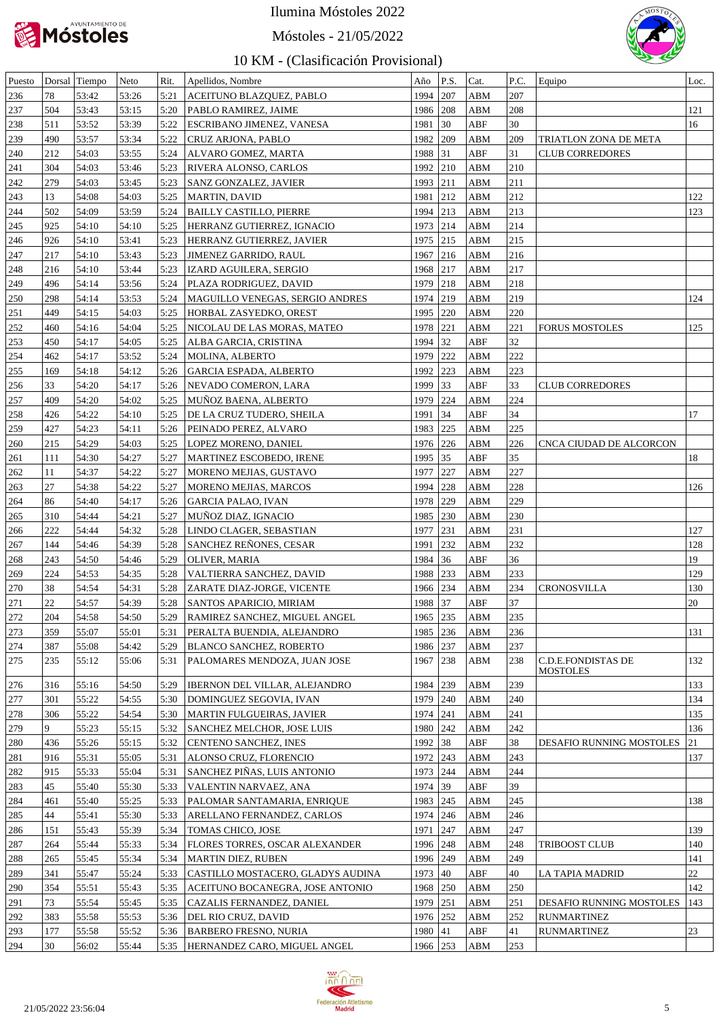

# Móstoles - 21/05/2022



| Puesto |     | Dorsal Tiempo | Neto  | Rit. | Apellidos, Nombre                     | Año      | P.S. | Cat.                    | P.C. | Equipo                                       | Loc.         |
|--------|-----|---------------|-------|------|---------------------------------------|----------|------|-------------------------|------|----------------------------------------------|--------------|
| 236    | 78  | 53:42         | 53:26 | 5:21 | ACEITUNO BLAZQUEZ, PABLO              | 1994     | 207  | ABM                     | 207  |                                              |              |
| 237    | 504 | 53:43         | 53:15 | 5:20 | PABLO RAMIREZ, JAIME                  | 1986     | 208  | ABM                     | 208  |                                              | 121          |
| 238    | 511 | 53:52         | 53:39 | 5:22 | <b>ESCRIBANO JIMENEZ, VANESA</b>      | 1981     | 30   | ABF                     | 30   |                                              | 16           |
| 239    | 490 | 53:57         | 53:34 | 5:22 | <b>CRUZ ARJONA, PABLO</b>             | 1982     | 209  | ABM                     | 209  | TRIATLON ZONA DE META                        |              |
| 240    | 212 | 54:03         | 53:55 | 5:24 | ALVARO GOMEZ, MARTA                   | 1988 31  |      | ABF                     | 31   | <b>CLUB CORREDORES</b>                       |              |
| 241    | 304 | 54:03         | 53:46 | 5:23 | RIVERA ALONSO, CARLOS                 | 1992 210 |      | ABM                     | 210  |                                              |              |
| 242    | 279 | 54:03         | 53:45 | 5:23 | <b>SANZ GONZALEZ, JAVIER</b>          | 1993     | 211  | ABM                     | 211  |                                              |              |
| 243    | 13  | 54:08         | 54:03 | 5:25 | MARTIN, DAVID                         | 1981     | 212  | ABM                     | 212  |                                              | 122          |
| 244    | 502 | 54:09         | 53:59 | 5:24 | <b>BAILLY CASTILLO, PIERRE</b>        | 1994 213 |      | ABM                     | 213  |                                              | 123          |
| 245    | 925 | 54:10         | 54:10 | 5:25 | HERRANZ GUTIERREZ, IGNACIO            | 1973 214 |      | ABM                     | 214  |                                              |              |
| 246    | 926 | 54:10         | 53:41 | 5:23 | HERRANZ GUTIERREZ, JAVIER             | 1975 215 |      | ABM                     | 215  |                                              |              |
| 247    | 217 | 54:10         | 53:43 | 5:23 | <b>JIMENEZ GARRIDO, RAUL</b>          | 1967     | 216  | ABM                     | 216  |                                              |              |
| 248    | 216 | 54:10         | 53:44 | 5:23 | <b>IZARD AGUILERA, SERGIO</b>         | 1968     | 217  | ABM                     | 217  |                                              |              |
| 249    | 496 | 54:14         | 53:56 | 5:24 | PLAZA RODRIGUEZ, DAVID                | 1979 218 |      | ABM                     | 218  |                                              |              |
|        |     |               |       |      |                                       |          |      |                         | 219  |                                              |              |
| 250    | 298 | 54:14         | 53:53 | 5:24 | MAGUILLO VENEGAS, SERGIO ANDRES       | 1974 219 |      | ABM                     |      |                                              | 124          |
| 251    | 449 | 54:15         | 54:03 | 5:25 | HORBAL ZASYEDKO, OREST                | 1995     | 220  | ABM                     | 220  |                                              |              |
| 252    | 460 | 54:16         | 54:04 | 5:25 | NICOLAU DE LAS MORAS, MATEO           | 1978     | 221  | ABM                     | 221  | <b>FORUS MOSTOLES</b>                        | 125          |
| 253    | 450 | 54:17         | 54:05 | 5:25 | ALBA GARCIA, CRISTINA                 | 1994     | 32   | ABF                     | 32   |                                              |              |
| 254    | 462 | 54:17         | 53:52 | 5:24 | MOLINA, ALBERTO                       | 1979     | 222  | ABM                     | 222  |                                              |              |
| 255    | 169 | 54:18         | 54:12 | 5:26 | <b>GARCIA ESPADA, ALBERTO</b>         | 1992     | 223  | ABM                     | 223  |                                              |              |
| 256    | 33  | 54:20         | 54:17 | 5:26 | NEVADO COMERON, LARA                  | 1999     | 33   | ABF                     | 33   | <b>CLUB CORREDORES</b>                       |              |
| 257    | 409 | 54:20         | 54:02 | 5:25 | MUÑOZ BAENA, ALBERTO                  | 1979     | 224  | ABM                     | 224  |                                              |              |
| 258    | 426 | 54:22         | 54:10 | 5:25 | DE LA CRUZ TUDERO, SHEILA             | 1991     | 34   | ABF                     | 34   |                                              | 17           |
| 259    | 427 | 54:23         | 54:11 | 5:26 | PEINADO PEREZ, ALVARO                 | 1983     | 225  | ABM                     | 225  |                                              |              |
| 260    | 215 | 54:29         | 54:03 | 5:25 | <b>LOPEZ MORENO, DANIEL</b>           | 1976 226 |      | ABM                     | 226  | CNCA CIUDAD DE ALCORCON                      |              |
| 261    | 111 | 54:30         | 54:27 | 5:27 | MARTINEZ ESCOBEDO, IRENE              | 1995     | 35   | ABF                     | 35   |                                              | 18           |
| 262    | 11  | 54:37         | 54:22 | 5:27 | MORENO MEJIAS, GUSTAVO                | 1977     | 227  | ABM                     | 227  |                                              |              |
| 263    | 27  | 54:38         | 54:22 | 5:27 | MORENO MEJIAS, MARCOS                 | 1994     | 228  | ABM                     | 228  |                                              | 126          |
| 264    | 86  | 54:40         | 54:17 | 5:26 | <b>GARCIA PALAO, IVAN</b>             | 1978     | 229  | ABM                     | 229  |                                              |              |
| 265    | 310 | 54:44         | 54:21 | 5:27 | MUÑOZ DIAZ, IGNACIO                   | 1985 230 |      | ABM                     | 230  |                                              |              |
| 266    | 222 | 54:44         | 54:32 | 5:28 | LINDO CLAGER, SEBASTIAN               | 1977     | 231  | ABM                     | 231  |                                              | 127          |
| 267    | 144 | 54:46         | 54:39 | 5:28 | SANCHEZ REÑONES, CESAR                | 1991     | 232  | ABM                     | 232  |                                              | 128          |
| 268    | 243 | 54:50         | 54:46 | 5:29 | OLIVER, MARIA                         | 1984     | 36   | ABF                     | 36   |                                              | 19           |
| 269    | 224 | 54:53         | 54:35 | 5:28 | VALTIERRA SANCHEZ, DAVID              | 1988     | 233  | ABM                     | 233  |                                              | 129          |
| 270    | 38  | 54:54         | 54:31 | 5:28 | ZARATE DIAZ-JORGE, VICENTE            | 1966 234 |      | ABM                     | 234  | <b>CRONOSVILLA</b>                           | 130          |
| 271    | 22  | 54:57         | 54:39 | 5:28 | <b>SANTOS APARICIO, MIRIAM</b>        | 1988 37  |      | ABF                     | 37   |                                              | 20           |
|        | 204 | 54:58         | 54:50 | 5:29 |                                       | 1965 235 |      | ${\bf A}{\bf B}{\bf M}$ | 235  |                                              |              |
| 272    |     |               |       |      | RAMIREZ SANCHEZ, MIGUEL ANGEL         |          |      |                         |      |                                              |              |
| 273    | 359 | 55:07         | 55:01 | 5:31 | PERALTA BUENDIA, ALEJANDRO            | 1985 236 |      | ABM                     | 236  |                                              | 131          |
| 274    | 387 | 55:08         | 54:42 | 5:29 | <b>BLANCO SANCHEZ, ROBERTO</b>        | 1986 237 |      | ABM                     | 237  |                                              |              |
| 275    | 235 | 55:12         | 55:06 | 5:31 | PALOMARES MENDOZA, JUAN JOSE          | 1967     | 238  | ABM                     | 238  | <b>C.D.E.FONDISTAS DE</b><br><b>MOSTOLES</b> | 132          |
| 276    | 316 | 55:16         | 54:50 | 5:29 | IBERNON DEL VILLAR, ALEJANDRO         | 1984 239 |      | ABM                     | 239  |                                              | 133          |
| 277    | 301 | 55:22         | 54:55 | 5:30 | DOMINGUEZ SEGOVIA, IVAN               | 1979 240 |      | ABM                     | 240  |                                              | 134          |
| 278    | 306 | 55:22         | 54:54 | 5:30 | MARTIN FULGUEIRAS, JAVIER             | 1974 241 |      | ${\bf A}{\bf B}{\bf M}$ | 241  |                                              | 135          |
| 279    | 9   | 55:23         | 55:15 | 5:32 | <b>SANCHEZ MELCHOR, JOSE LUIS</b>     | 1980 242 |      | ${\bf A}{\bf B}{\bf M}$ | 242  |                                              | 136          |
| 280    | 436 | 55:26         | 55:15 | 5:32 | <b>CENTENO SANCHEZ, INES</b>          | 1992 38  |      | ${\sf ABF}$             | 38   |                                              | 21           |
|        | 916 |               |       |      |                                       |          |      |                         |      | DESAFIO RUNNING MOSTOLES                     |              |
| 281    |     | 55:31         | 55:05 | 5:31 | ALONSO CRUZ, FLORENCIO                | 1972 243 |      | ABM                     | 243  |                                              | 137          |
| 282    | 915 | 55:33         | 55:04 | 5:31 | SANCHEZ PIÑAS, LUIS ANTONIO           | 1973 244 |      | ABM                     | 244  |                                              |              |
| 283    | 45  | 55:40         | 55:30 | 5:33 | VALENTIN NARVAEZ, ANA                 | 1974 39  |      | ABF                     | 39   |                                              |              |
| 284    | 461 | 55:40         | 55:25 | 5:33 | PALOMAR SANTAMARIA, ENRIQUE           | 1983 245 |      | ABM                     | 245  |                                              | 138          |
| 285    | 44  | 55:41         | 55:30 | 5:33 | ARELLANO FERNANDEZ, CARLOS            | 1974 246 |      | ABM                     | 246  |                                              |              |
| 286    | 151 | 55:43         | 55:39 | 5:34 | <b>TOMAS CHICO, JOSE</b>              | 1971     | 247  | ABM                     | 247  |                                              | 139          |
| 287    | 264 | 55:44         | 55:33 | 5:34 | <b>FLORES TORRES, OSCAR ALEXANDER</b> | 1996 248 |      | ${\bf A}{\bf B}{\bf M}$ | 248  | TRIBOOST CLUB                                | 140          |
| 288    | 265 | 55:45         | 55:34 | 5:34 | MARTIN DIEZ, RUBEN                    | 1996 249 |      | ABM                     | 249  |                                              | 141          |
| 289    | 341 | 55:47         | 55:24 | 5:33 | CASTILLO MOSTACERO, GLADYS AUDINA     | 1973 40  |      | ${\sf ABF}$             | 40   | LA TAPIA MADRID                              | 22           |
| 290    | 354 | 55:51         | 55:43 | 5:35 | ACEITUNO BOCANEGRA, JOSE ANTONIO      | 1968 250 |      | ABM                     | 250  |                                              | 142          |
| 291    | 73  | 55:54         | 55:45 | 5:35 | CAZALIS FERNANDEZ, DANIEL             | 1979 251 |      | ABM                     | 251  | DESAFIO RUNNING MOSTOLES                     | 143          |
| 292    | 383 | 55:58         | 55:53 |      | 5:36   DEL RIO CRUZ, DAVID            | 1976 252 |      | ABM                     | 252  | <b>RUNMARTINEZ</b>                           |              |
| 293    | 177 | 55:58         | 55:52 |      | 5:36   BARBERO FRESNO, NURIA          | 1980 41  |      | ABF                     | 41   | <b>RUNMARTINEZ</b>                           | $ 23\rangle$ |
| 294    | 30  | 56:02         | 55:44 |      | 5:35  HERNANDEZ CARO, MIGUEL ANGEL    | 1966 253 |      | <b>ABM</b>              | 253  |                                              |              |
|        |     |               |       |      |                                       |          |      |                         |      |                                              |              |

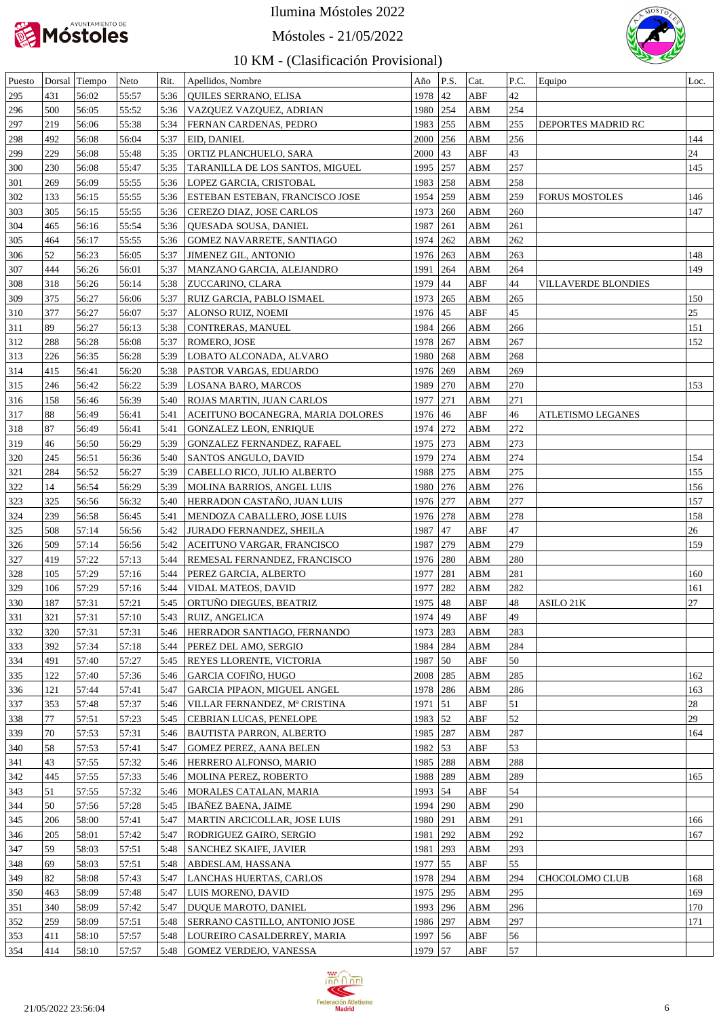

Móstoles - 21/05/2022



| Puesto |     | Dorsal Tiempo | Neto  | Rit. | Apellidos, Nombre                 | Año        | P.S. | Cat.                    | P.C. | Equipo                | Loc. |
|--------|-----|---------------|-------|------|-----------------------------------|------------|------|-------------------------|------|-----------------------|------|
| 295    | 431 | 56:02         | 55:57 | 5:36 | QUILES SERRANO, ELISA             | 1978       | 42   | ABF                     | 42   |                       |      |
| 296    | 500 | 56:05         | 55:52 | 5:36 | VAZQUEZ VAZQUEZ, ADRIAN           | 1980 254   |      | ${\bf A}{\bf B}{\bf M}$ | 254  |                       |      |
| 297    | 219 | 56:06         | 55:38 | 5:34 | FERNAN CARDENAS, PEDRO            | 1983       | 255  | ABM                     | 255  | DEPORTES MADRID RC    |      |
| 298    | 492 | 56:08         | 56:04 | 5:37 | EID, DANIEL                       | 2000       | 256  | ${\bf ABM}$             | 256  |                       | 144  |
| 299    | 229 | 56:08         | 55:48 | 5:35 | ORTIZ PLANCHUELO, SARA            | 2000       | 43   | ABF                     | 43   |                       | 24   |
| 300    | 230 | 56:08         | 55:47 | 5:35 | TARANILLA DE LOS SANTOS, MIGUEL   | 1995 257   |      | ${\bf ABM}$             | 257  |                       | 145  |
| 301    | 269 | 56:09         | 55:55 | 5:36 | LOPEZ GARCIA, CRISTOBAL           | 1983 258   |      | ${\bf ABM}$             | 258  |                       |      |
| 302    | 133 | 56:15         | 55:55 | 5:36 | ESTEBAN ESTEBAN, FRANCISCO JOSE   | 1954 259   |      | ABM                     | 259  | <b>FORUS MOSTOLES</b> | 146  |
| 303    | 305 | 56:15         | 55:55 | 5:36 | CEREZO DIAZ, JOSE CARLOS          | 1973 260   |      | ${\bf ABM}$             | 260  |                       | 147  |
| 304    | 465 | 56:16         | 55:54 | 5:36 |                                   | 1987       | 261  | ${\bf ABM}$             | 261  |                       |      |
|        |     |               |       |      | QUESADA SOUSA, DANIEL             | 1974 262   |      |                         | 262  |                       |      |
| 305    | 464 | 56:17         | 55:55 | 5:36 | GOMEZ NAVARRETE, SANTIAGO         |            |      | ${\bf ABM}$             |      |                       |      |
| 306    | 52  | 56:23         | 56:05 | 5:37 | <b>JIMENEZ GIL, ANTONIO</b>       | 1976 263   |      | ${\bf ABM}$             | 263  |                       | 148  |
| 307    | 444 | 56:26         | 56:01 | 5:37 | MANZANO GARCIA, ALEJANDRO         | 1991       | 264  | ${\bf ABM}$             | 264  |                       | 149  |
| 308    | 318 | 56:26         | 56:14 | 5:38 | ZUCCARINO, CLARA                  | 1979       | 44   | ABF                     | 44   | VILLAVERDE BLONDIES   |      |
| 309    | 375 | 56:27         | 56:06 | 5:37 | RUIZ GARCIA, PABLO ISMAEL         | 1973 265   |      | ${\bf ABM}$             | 265  |                       | 150  |
| 310    | 377 | 56:27         | 56:07 | 5:37 | ALONSO RUIZ, NOEMI                | 1976 45    |      | ABF                     | 45   |                       | 25   |
| 311    | 89  | 56:27         | 56:13 | 5:38 | CONTRERAS, MANUEL                 | 1984 266   |      | ${\bf ABM}$             | 266  |                       | 151  |
| 312    | 288 | 56:28         | 56:08 | 5:37 | ROMERO, JOSE                      | 1978       | 267  | ${\bf ABM}$             | 267  |                       | 152  |
| 313    | 226 | 56:35         | 56:28 | 5:39 | LOBATO ALCONADA, ALVARO           | 1980       | 268  | ${\bf ABM}$             | 268  |                       |      |
| 314    | 415 | 56:41         | 56:20 | 5:38 | PASTOR VARGAS, EDUARDO            | 1976 269   |      | ${\bf ABM}$             | 269  |                       |      |
| 315    | 246 | 56:42         | 56:22 | 5:39 | LOSANA BARO, MARCOS               | 1989 270   |      | ${\bf A}{\bf B}{\bf M}$ | 270  |                       | 153  |
| 316    | 158 | 56:46         | 56:39 | 5:40 | ROJAS MARTIN, JUAN CARLOS         | 1977       | 271  | ${\bf ABM}$             | 271  |                       |      |
| 317    | 88  | 56:49         | 56:41 | 5:41 | ACEITUNO BOCANEGRA, MARIA DOLORES | 1976 46    |      | ABF                     | 46   | ATLETISMO LEGANES     |      |
| 318    | 87  | 56:49         | 56:41 | 5:41 | <b>GONZALEZ LEON, ENRIQUE</b>     | 1974 272   |      | ${\bf ABM}$             | 272  |                       |      |
| 319    | 46  | 56:50         | 56:29 | 5:39 | GONZALEZ FERNANDEZ, RAFAEL        | 1975 273   |      | ${\bf ABM}$             | 273  |                       |      |
| 320    | 245 | 56:51         | 56:36 | 5:40 | SANTOS ANGULO, DAVID              | 1979       | 274  | ${\bf ABM}$             | 274  |                       | 154  |
| 321    | 284 | 56:52         | 56:27 | 5:39 | CABELLO RICO, JULIO ALBERTO       | 1988       | 275  | ${\bf ABM}$             | 275  |                       | 155  |
| 322    | 14  | 56:54         | 56:29 | 5:39 | MOLINA BARRIOS, ANGEL LUIS        | 1980 276   |      | ${\bf ABM}$             | 276  |                       | 156  |
| 323    | 325 | 56:56         | 56:32 | 5:40 | HERRADON CASTAÑO, JUAN LUIS       | 1976 277   |      | ABM                     | 277  |                       | 157  |
| 324    | 239 | 56:58         | 56:45 | 5:41 | MENDOZA CABALLERO, JOSE LUIS      | 1976 278   |      | ${\bf ABM}$             | 278  |                       | 158  |
|        | 508 | 57:14         | 56:56 | 5:42 |                                   | 1987       | 47   | ABF                     | 47   |                       | 26   |
| 325    |     |               |       |      | <b>JURADO FERNANDEZ, SHEILA</b>   |            |      |                         | 279  |                       |      |
| 326    | 509 | 57:14         | 56:56 | 5:42 | ACEITUNO VARGAR, FRANCISCO        | 1987 279   |      | ${\bf ABM}$             |      |                       | 159  |
| 327    | 419 | 57:22         | 57:13 | 5:44 | REMESAL FERNANDEZ, FRANCISCO      | 1976 280   |      | ${\bf ABM}$             | 280  |                       |      |
| 328    | 105 | 57:29         | 57:16 | 5:44 | PEREZ GARCIA, ALBERTO             | 1977       | 281  | ${\bf ABM}$             | 281  |                       | 160  |
| 329    | 106 | 57:29         | 57:16 | 5:44 | VIDAL MATEOS, DAVID               | 1977       | 282  | ABM                     | 282  |                       | 161  |
| 330    | 187 | 57:31         | 57:21 | 5:45 | ORTUÑO DIEGUES, BEATRIZ           | 1975 48    |      | ${\rm ABF}$             | 48   | ASILO 21K             | 27   |
| 331    | 321 | 57:31         | 57:10 |      | 5:43 RUIZ, ANGELICA               | 1974 49    |      | ABF                     | 49   |                       |      |
| 332    | 320 | 57:31         | 57:31 | 5:46 | HERRADOR SANTIAGO, FERNANDO       | 1973   283 |      | ABM                     | 283  |                       |      |
| 333    | 392 | 57:34         | 57:18 | 5:44 | PEREZ DEL AMO, SERGIO             | 1984   284 |      | ABM                     | 284  |                       |      |
| 334    | 491 | 57:40         | 57:27 | 5:45 | REYES LLORENTE, VICTORIA          | 1987 50    |      | ABF                     | 50   |                       |      |
| 335    | 122 | 57:40         | 57:36 | 5:46 | GARCIA COFIÑO, HUGO               | 2008   285 |      | ABM                     | 285  |                       | 162  |
| 336    | 121 | 57:44         | 57:41 | 5:47 | GARCIA PIPAON, MIGUEL ANGEL       | 1978   286 |      | ABM                     | 286  |                       | 163  |
| 337    | 353 | 57:48         | 57:37 | 5:46 | VILLAR FERNANDEZ, Mª CRISTINA     | 1971   51  |      | ABF                     | 51   |                       | 28   |
| 338    | 77  | 57:51         | 57:23 | 5:45 | CEBRIAN LUCAS, PENELOPE           | 1983 52    |      | ABF                     | 52   |                       | 29   |
| 339    | 70  | 57:53         | 57:31 | 5:46 | <b>BAUTISTA PARRON, ALBERTO</b>   | 1985   287 |      | ABM                     | 287  |                       | 164  |
| 340    | 58  | 57:53         | 57:41 | 5:47 | <b>GOMEZ PEREZ, AANA BELEN</b>    | 1982 53    |      | ABF                     | 53   |                       |      |
| 341    | 43  | 57:55         | 57:32 | 5:46 | HERRERO ALFONSO, MARIO            | 1985   288 |      | ABM                     | 288  |                       |      |
| 342    | 445 | 57:55         | 57:33 | 5:46 | MOLINA PEREZ, ROBERTO             | 1988 289   |      | ABM                     | 289  |                       | 165  |
| 343    | 51  | 57:55         | 57:32 | 5:46 | MORALES CATALAN, MARIA            | 1993   54  |      | ABF                     | 54   |                       |      |
| 344    | 50  | 57:56         | 57:28 | 5:45 | <b>IBAÑEZ BAENA, JAIME</b>        | 1994   290 |      | ABM                     | 290  |                       |      |
|        |     |               |       |      |                                   |            |      | ABM                     | 291  |                       |      |
| 345    | 206 | 58:00         | 57:41 | 5:47 | MARTIN ARCICOLLAR, JOSE LUIS      | 1980   291 |      |                         |      |                       | 166  |
| 346    | 205 | 58:01         | 57:42 | 5:47 | RODRIGUEZ GAIRO, SERGIO           | 1981   292 |      | ABM                     | 292  |                       | 167  |
| 347    | 59  | 58:03         | 57:51 | 5:48 | SANCHEZ SKAIFE, JAVIER            | 1981   293 |      | ABM                     | 293  |                       |      |
| 348    | 69  | 58:03         | 57:51 | 5:48 | ABDESLAM, HASSANA                 | 1977   55  |      | ABF                     | 55   |                       |      |
| 349    | 82  | 58:08         | 57:43 | 5:47 | LANCHAS HUERTAS, CARLOS           | 1978 294   |      | ABM                     | 294  | CHOCOLOMO CLUB        | 168  |
| 350    | 463 | 58:09         | 57:48 | 5:47 | LUIS MORENO, DAVID                | 1975 295   |      | ABM                     | 295  |                       | 169  |
| 351    | 340 | 58:09         | 57:42 | 5:47 | DUQUE MAROTO, DANIEL              | 1993   296 |      | ABM                     | 296  |                       | 170  |
| 352    | 259 | 58:09         | 57:51 | 5:48 | SERRANO CASTILLO, ANTONIO JOSE    | 1986 297   |      | ABM                     | 297  |                       | 171  |
| 353    | 411 | 58:10         | 57:57 | 5:48 | LOUREIRO CASALDERREY, MARIA       | 1997 56    |      | ABF                     | 56   |                       |      |
| 354    | 414 | 58:10         | 57:57 | 5:48 | <b>GOMEZ VERDEJO, VANESSA</b>     | 1979 57    |      | ABF                     | 57   |                       |      |

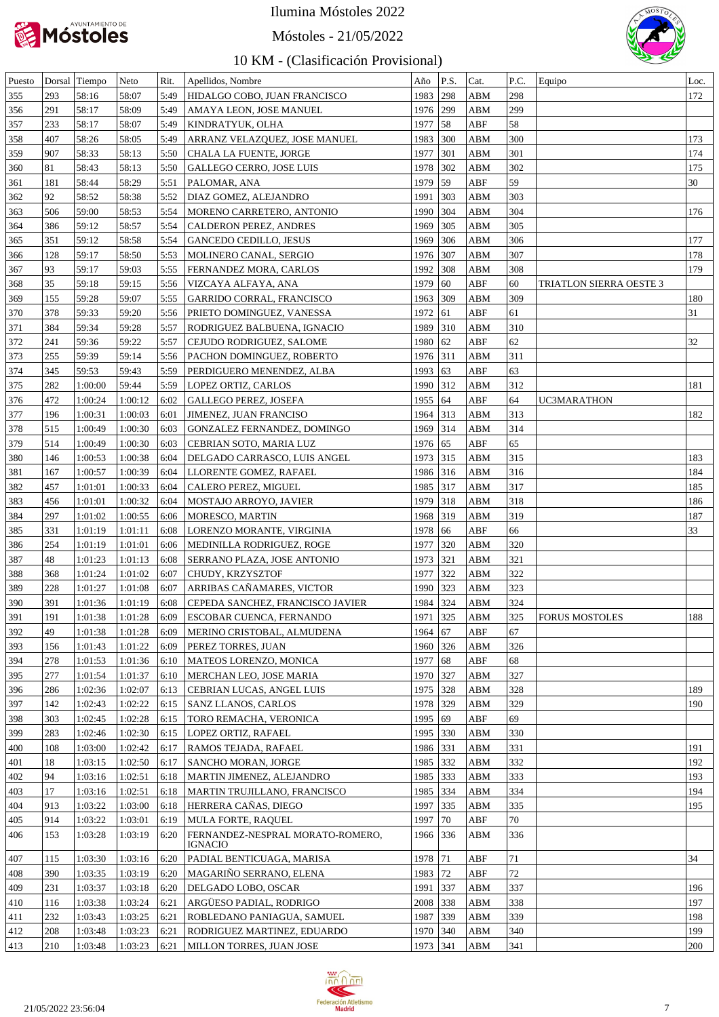

### Móstoles - 21/05/2022



| Puesto |     | Dorsal Tiempo | Neto    | Rit. | Apellidos, Nombre                           | Año        | P.S.         | Cat. | P.C. | Equipo                  | Loc. |
|--------|-----|---------------|---------|------|---------------------------------------------|------------|--------------|------|------|-------------------------|------|
| 355    | 293 | 58:16         | 58:07   | 5:49 | HIDALGO COBO, JUAN FRANCISCO                | 1983       | 298          | ABM  | 298  |                         | 172  |
| 356    | 291 | 58:17         | 58:09   | 5:49 | AMAYA LEON, JOSE MANUEL                     | 1976 299   |              | ABM  | 299  |                         |      |
| 357    | 233 | 58:17         | 58:07   | 5:49 | KINDRATYUK, OLHA                            | 1977       | 58           | ABF  | 58   |                         |      |
| 358    | 407 | 58:26         | 58:05   | 5:49 | ARRANZ VELAZQUEZ, JOSE MANUEL               | 1983       | 300          | ABM  | 300  |                         | 173  |
| 359    | 907 | 58:33         | 58:13   | 5:50 | CHALA LA FUENTE, JORGE                      | 1977       | 301          | ABM  | 301  |                         | 174  |
| 360    | 81  | 58:43         | 58:13   | 5:50 | GALLEGO CERRO, JOSE LUIS                    | 1978       | 302          | ABM  | 302  |                         | 175  |
| 361    | 181 | 58:44         | 58:29   | 5:51 | PALOMAR, ANA                                | 1979       | 59           | ABF  | 59   |                         | 30   |
| 362    | 92  | 58:52         | 58:38   | 5:52 | DIAZ GOMEZ, ALEJANDRO                       | 1991       | 303          | ABM  | 303  |                         |      |
| 363    | 506 | 59:00         | 58:53   | 5:54 | MORENO CARRETERO, ANTONIO                   | 1990       | 304          | ABM  | 304  |                         | 176  |
| 364    | 386 | 59:12         | 58:57   | 5:54 | CALDERON PEREZ, ANDRES                      | 1969       | 305          | ABM  | 305  |                         |      |
| 365    | 351 | 59:12         | 58:58   | 5:54 | <b>GANCEDO CEDILLO, JESUS</b>               | 1969       | 306          | ABM  | 306  |                         | 177  |
|        |     |               |         |      |                                             | 1976 307   |              |      | 307  |                         |      |
| 366    | 128 | 59:17         | 58:50   | 5:53 | MOLINERO CANAL, SERGIO                      |            |              | ABM  |      |                         | 178  |
| 367    | 93  | 59:17         | 59:03   | 5:55 | FERNANDEZ MORA, CARLOS                      | 1992       | 308          | ABM  | 308  |                         | 179  |
| 368    | 35  | 59:18         | 59:15   | 5:56 | VIZCAYA ALFAYA, ANA                         | 1979       | 60           | ABF  | 60   | TRIATLON SIERRA OESTE 3 |      |
| 369    | 155 | 59:28         | 59:07   | 5:55 | <b>GARRIDO CORRAL, FRANCISCO</b>            | 1963 309   |              | ABM  | 309  |                         | 180  |
| 370    | 378 | 59:33         | 59:20   | 5:56 | PRIETO DOMINGUEZ, VANESSA                   | 1972       | 61           | ABF  | 61   |                         | 31   |
| 371    | 384 | 59:34         | 59:28   | 5:57 | RODRIGUEZ BALBUENA, IGNACIO                 | 1989       | 310          | ABM  | 310  |                         |      |
| 372    | 241 | 59:36         | 59:22   | 5:57 | CEJUDO RODRIGUEZ, SALOME                    | 1980       | 62           | ABF  | 62   |                         | 32   |
| 373    | 255 | 59:39         | 59:14   | 5:56 | PACHON DOMINGUEZ, ROBERTO                   | 1976 311   |              | ABM  | 311  |                         |      |
| 374    | 345 | 59:53         | 59:43   | 5:59 | PERDIGUERO MENENDEZ, ALBA                   | 1993       | 63           | ABF  | 63   |                         |      |
| 375    | 282 | 1:00:00       | 59:44   | 5:59 | LOPEZ ORTIZ, CARLOS                         | 1990 312   |              | ABM  | 312  |                         | 181  |
| 376    | 472 | 1:00:24       | 1:00:12 | 6:02 | GALLEGO PEREZ, JOSEFA                       | 1955 64    |              | ABF  | 64   | UC3MARATHON             |      |
| 377    | 196 | 1:00:31       | 1:00:03 | 6:01 | JIMENEZ, JUAN FRANCISO                      | 1964 313   |              | ABM  | 313  |                         | 182  |
| 378    | 515 | 1:00:49       | 1:00:30 | 6:03 | GONZALEZ FERNANDEZ, DOMINGO                 | 1969       | 314          | ABM  | 314  |                         |      |
| 379    | 514 | 1:00:49       | 1:00:30 | 6:03 | CEBRIAN SOTO, MARIA LUZ                     | 1976 65    |              | ABF  | 65   |                         |      |
| 380    | 146 | 1:00:53       | 1:00:38 | 6:04 | DELGADO CARRASCO, LUIS ANGEL                | 1973 315   |              | ABM  | 315  |                         | 183  |
| 381    | 167 | 1:00:57       | 1:00:39 | 6:04 | LLORENTE GOMEZ, RAFAEL                      | 1986 316   |              | ABM  | 316  |                         | 184  |
| 382    | 457 | 1:01:01       | 1:00:33 | 6:04 | CALERO PEREZ, MIGUEL                        | 1985       | 317          | ABM  | 317  |                         | 185  |
| 383    | 456 | 1:01:01       | 1:00:32 | 6:04 | MOSTAJO ARROYO, JAVIER                      | 1979       | 318          | ABM  | 318  |                         | 186  |
| 384    | 297 | 1:01:02       | 1:00:55 | 6:06 | MORESCO, MARTIN                             | 1968       | 319          | ABM  | 319  |                         | 187  |
| 385    | 331 | 1:01:19       | 1:01:11 | 6:08 | LORENZO MORANTE, VIRGINIA                   | 1978       | 66           | ABF  | 66   |                         | 33   |
| 386    | 254 | 1:01:19       | 1:01:01 | 6:06 | MEDINILLA RODRIGUEZ, ROGE                   | 1977       | 320          | ABM  | 320  |                         |      |
| 387    | 48  | 1:01:23       | 1:01:13 | 6:08 | SERRANO PLAZA, JOSE ANTONIO                 | 1973       | 321          | ABM  | 321  |                         |      |
| 388    | 368 | 1:01:24       | 1:01:02 | 6:07 | CHUDY, KRZYSZTOF                            | 1977       | 322          | ABM  | 322  |                         |      |
| 389    | 228 | 1:01:27       | 1:01:08 | 6:07 | ARRIBAS CANAMARES, VICTOR                   | 1990       | 323          | ABM  | 323  |                         |      |
| 390    | 391 | 1:01:36       | 1:01:19 | 6:08 | CEPEDA SANCHEZ, FRANCISCO JAVIER            | 1984       | 324          | ABM  | 324  |                         |      |
| 391    | 191 | 1:01:38       | 1:01:28 | 6:09 | <b>ESCOBAR CUENCA, FERNANDO</b>             | 1971   325 |              | ABM  | 325  | <b>FORUS MOSTOLES</b>   | 188  |
| 392    | 49  | 1:01:38       | 1:01:28 | 6:09 | MERINO CRISTOBAL, ALMUDENA                  | 1964 67    |              | ABF  | 67   |                         |      |
| 393    | 156 | 1:01:43       | 1:01:22 | 6:09 | PEREZ TORRES, JUAN                          | 1960 326   |              | ABM  | 326  |                         |      |
| 394    | 278 | 1:01:53       | 1:01:36 | 6:10 | MATEOS LORENZO, MONICA                      | 1977       | 68           | ABF  | 68   |                         |      |
| 395    | 277 | 1:01:54       | 1:01:37 | 6:10 | MERCHAN LEO, JOSE MARIA                     | 1970 327   |              | ABM  | 327  |                         |      |
|        | 286 |               |         |      |                                             |            |              |      | 328  |                         | 189  |
| 396    |     | 1:02:36       | 1:02:07 | 6:13 | CEBRIAN LUCAS, ANGEL LUIS                   | 1975 328   |              | ABM  |      |                         |      |
| 397    | 142 | 1:02:43       | 1:02:22 | 6:15 | SANZ LLANOS, CARLOS                         | 1978 329   |              | ABM  | 329  |                         | 190  |
| 398    | 303 | 1:02:45       | 1:02:28 | 6:15 | TORO REMACHA, VERONICA                      | 1995 69    |              | ABF  | 69   |                         |      |
| 399    | 283 | 1:02:46       | 1:02:30 | 6:15 | LOPEZ ORTIZ, RAFAEL                         | 1995 330   |              | ABM  | 330  |                         |      |
| 400    | 108 | 1:03:00       | 1:02:42 | 6:17 | RAMOS TEJADA, RAFAEL                        | 1986 331   |              | ABM  | 331  |                         | 191  |
| 401    | 18  | 1:03:15       | 1:02:50 | 6:17 | SANCHO MORAN, JORGE                         | 1985 332   |              | ABM  | 332  |                         | 192  |
| 402    | 94  | 1:03:16       | 1:02:51 | 6:18 | MARTIN JIMENEZ, ALEJANDRO                   | 1985 333   |              | ABM  | 333  |                         | 193  |
| 403    | 17  | 1:03:16       | 1:02:51 | 6:18 | MARTIN TRUJILLANO, FRANCISCO                | 1985 334   |              | ABM  | 334  |                         | 194  |
| 404    | 913 | 1:03:22       | 1:03:00 | 6:18 | HERRERA CANAS, DIEGO                        | 1997 335   |              | ABM  | 335  |                         | 195  |
| 405    | 914 | 1:03:22       | 1:03:01 | 6:19 | <b>MULA FORTE, RAQUEL</b>                   | 1997       | $ 70\rangle$ | ABF  | 70   |                         |      |
| 406    | 153 | 1:03:28       | 1:03:19 | 6:20 | FERNANDEZ-NESPRAL MORATO-ROMERO,<br>IGNACIO | 1966 336   |              | ABM  | 336  |                         |      |
| 407    | 115 | 1:03:30       | 1:03:16 | 6:20 | PADIAL BENTICUAGA, MARISA                   | 1978 71    |              | ABF  | 71   |                         | 34   |
| 408    | 390 | 1:03:35       | 1:03:19 | 6:20 | MAGARIÑO SERRANO, ELENA                     | 1983 72    |              | ABF  | 72   |                         |      |
| 409    | 231 | 1:03:37       | 1:03:18 | 6:20 | DELGADO LOBO, OSCAR                         | 1991       | 337          | ABM  | 337  |                         | 196  |
| 410    | 116 | 1:03:38       | 1:03:24 | 6:21 | ARGÜESO PADIAL, RODRIGO                     | 2008 338   |              | ABM  | 338  |                         | 197  |
| 411    | 232 | 1:03:43       | 1:03:25 | 6:21 | ROBLEDANO PANIAGUA, SAMUEL                  | 1987       | 339          | ABM  | 339  |                         | 198  |
| 412    | 208 | 1:03:48       | 1:03:23 | 6:21 | RODRIGUEZ MARTINEZ, EDUARDO                 | 1970       | 340          | ABM  | 340  |                         | 199  |
| 413    | 210 | 1:03:48       | 1:03:23 | 6:21 | MILLON TORRES, JUAN JOSE                    | 1973 341   |              | ABM  | 341  |                         | 200  |
|        |     |               |         |      |                                             |            |              |      |      |                         |      |